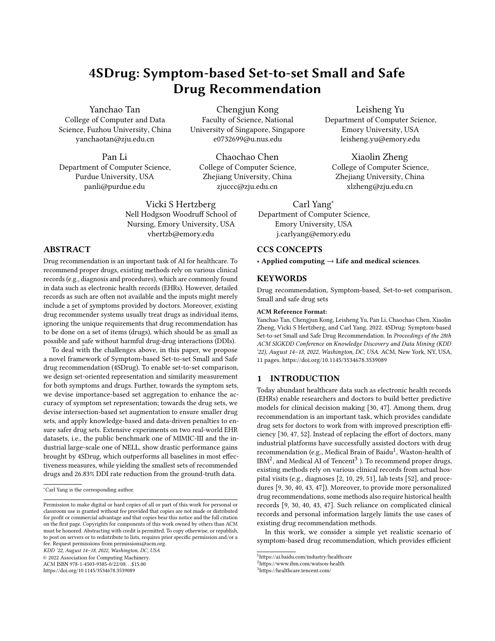# 4SDrug: Symptom-based Set-to-set Small and Safe Drug Recommendation

Yanchao Tan

College of Computer and Data Science, Fuzhou University, China yanchaotan@zju.edu.cn

Pan Li Department of Computer Science, Purdue University, USA panli@purdue.edu

Chengjun Kong Faculty of Science, National University of Singapore, Singapore e0732699@u.nus.edu

Chaochao Chen College of Computer Science, Zhejiang University, China zjuccc@zju.edu.cn

Vicki S Hertzberg Nell Hodgson Woodruff School of Nursing, Emory University, USA vhertzb@emory.edu

# ABSTRACT

Drug recommendation is an important task of AI for healthcare. To recommend proper drugs, existing methods rely on various clinical records (e.g., diagnosis and procedures), which are commonly found in data such as electronic health records (EHRs). However, detailed records as such are often not available and the inputs might merely include a set of symptoms provided by doctors. Moreover, existing drug recommender systems usually treat drugs as individual items, ignoring the unique requirements that drug recommendation has to be done on a set of items (drugs), which should be as small as possible and safe without harmful drug-drug interactions (DDIs).

To deal with the challenges above, in this paper, we propose a novel framework of Symptom-based Set-to-set Small and Safe drug recommendation (4SDrug). To enable set-to-set comparison, we design set-oriented representation and similarity measurement for both symptoms and drugs. Further, towards the symptom sets, we devise importance-based set aggregation to enhance the accuracy of symptom set representation; towards the drug sets, we devise intersection-based set augmentation to ensure smaller drug sets, and apply knowledge-based and data-driven penalties to ensure safer drug sets. Extensive experiments on two real-world EHR datasets, i.e., the public benchmark one of MIMIC-III and the industrial large-scale one of NELL, show drastic performance gains brought by 4SDrug, which outperforms all baselines in most effectiveness measures, while yielding the smallest sets of recommended drugs and 26.83% DDI rate reduction from the ground-truth data.

KDD '22, August 14–18, 2022, Washington, DC, USA

© 2022 Association for Computing Machinery.

ACM ISBN 978-1-4503-9385-0/22/08. . . \$15.00

<https://doi.org/10.1145/3534678.3539089>

Leisheng Yu

Department of Computer Science, Emory University, USA leisheng.yu@emory.edu

Xiaolin Zheng College of Computer Science, Zhejiang University, China xlzheng@zju.edu.cn

Carl Yang<sup>∗</sup> Department of Computer Science, Emory University, USA j.carlyang@emory.edu

# CCS CONCEPTS

• Applied computing  $\rightarrow$  Life and medical sciences.

#### KEYWORDS

Drug recommendation, Symptom-based, Set-to-set comparison, Small and safe drug sets

#### ACM Reference Format:

Yanchao Tan, Chengjun Kong, Leisheng Yu, Pan Li, Chaochao Chen, Xiaolin Zheng, Vicki S Hertzberg, and Carl Yang. 2022. 4SDrug: Symptom-based Set-to-set Small and Safe Drug Recommendation. In Proceedings of the 28th ACM SIGKDD Conference on Knowledge Discovery and Data Mining (KDD '22), August 14–18, 2022, Washington, DC, USA. ACM, New York, NY, USA, 11 pages.<https://doi.org/10.1145/3534678.3539089>

# 1 INTRODUCTION

Today abundant healthcare data such as electronic health records (EHRs) enable researchers and doctors to build better predictive models for clinical decision making [30, 47]. Among them, drug recommendation is an important task, which provides candidate drug sets for doctors to work from with improved prescription efficiency [30, 47, 52]. Instead of replacing the effort of doctors, many industrial platforms have successfully assisted doctors with drug recommendation (e.g., Medical Brain of Baidu<sup>1</sup>, Waston-health of  $\mathrm{IBM}^2$ , and Medical AI of Tencent $^3$  ). To recommend proper drugs, existing methods rely on various clinical records from actual hospital visits (e.g., diagnoses [2, 10, 29, 51], lab tests [52], and procedures [9, 30, 40, 43, 47]). Moreover, to provide more personalized drug recommendations, some methods also require historical health records [9, 30, 40, 43, 47]. Such reliance on complicated clinical records and personal information largely limits the use cases of existing drug recommendation methods.

In this work, we consider a simple yet realistic scenario of symptom-based drug recommendation, which provides efficient

<sup>3</sup>https://healthcare.tencent.com/

<sup>∗</sup>Carl Yang is the corresponding author.

Permission to make digital or hard copies of all or part of this work for personal or classroom use is granted without fee provided that copies are not made or distributed for profit or commercial advantage and that copies bear this notice and the full citation on the first page. Copyrights for components of this work owned by others than ACM must be honored. Abstracting with credit is permitted. To copy otherwise, or republish, to post on servers or to redistribute to lists, requires prior specific permission and/or a fee. Request permissions from permissions@acm.org.

<sup>1</sup>https://ai.baidu.com/industry/healthcare

<sup>2</sup>https://www.ibm.com/watson-health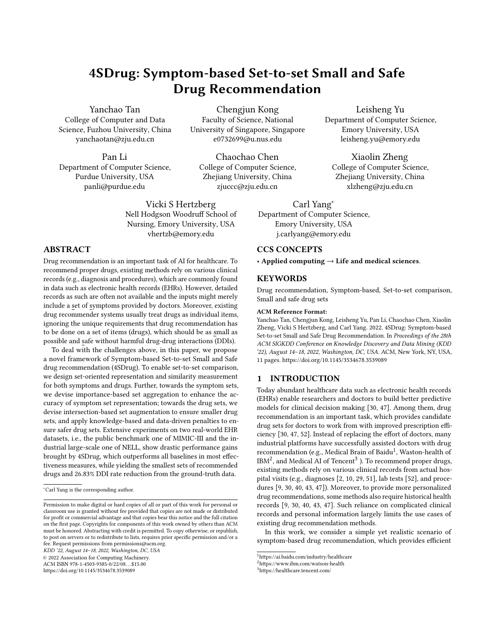KDD '22, August 14-18, 2022, Washington, DC, USA Yanchao Tan et al. (2012) 22, August 14-18, 2022, Washington, DC, USA



Figure 1: A toy example of the symptom-based set-to-set drug recommendation.

references for doctors during the actual diagnoses. Instead of using complicated historical clinical records, we propose to only require a set of symptoms, which can be actively entered by the doctor (e.g., the NELL dataset<sup>4</sup>) or automatically extracted from the medical records (e.g., the MIMIC-III dataset [15]). Since symptoms can reflect a patient's physical status [16, 28, 36] without exposing his/her personal information, the symptom-based drug recommendation system is secure from privacy issues and can be widely applied to assist doctors in prescribing proper drugs. As shown in Figure 1, both Lisa and Jack who show the same set of symptoms (i.e., {Chills, Cough, Fever, Headache}) are likely to be diagnosed with the same disease by doctors (i.e., viral influenza), and thus be prescribed with the same set of drugs (i.e., {Oseltamivir, Ibuprofen, Ambroxol}).

Since not all doctors can always avoid prescription errors (e.g., prescribing drug sets that include harmful drug-drug interactions (DDIs)) due to the limited expert experience and possible human negligence [3, 5], such a symptom-based drug recommendation system can be of great help. Specifically, the system can recommend a small set of safe drugs given a set of symptoms, which is convenient and accessible to doctors. However, this novel task of set-to-set recommendation between symptoms and drugs (as shown in Figure 1) poses several unique challenges for us.

Challenge I: How to effectively model the set-to-set relations among symptoms and drugs? Different from general recommendation which aims at modeling single users on one side and single items on the other, we need to consider sets of symptoms on one side and sets of drugs on the other. Since the sets have multiple elements and variable sizes, how to properly represent the sets and effectively optimize their relations is unknown.

Challenge II: How to enhance the accuracy of symptom set representation? To accurately represent a symptom set, it is practical to consider the varying importance of individual symptoms. For example, as shown in Figure 1, although Headache appears frequently in different sets, Fever plays a much more important role than Headache in the symptom set of Lisa, since it dominantly leads to the diagnosis of viral influenza. Without specific consideration of the importance of Fever, the model may fail to provide an accurate symptom representation towards effective drug recommendation. Challenge III: How to properly recommend small and safe sets of drugs? Unlike general recommendation, the output of drug recommendation is a set of drugs. Firstly, the set needs to be small because too many drugs will increase the patient's financial burden and

reluctancy of taking all of them. Moreover, the set of drugs needs to be safe, which should not include harmful drug-drug interactions (DDIs). Some existing studies model DDIs based on the external drug knowledge base, but this is not always applicable.

To address these challenges, we propose Symptom-based Set-toset Small and Safe drug recommendation (4SDrug), which consists of three pivotal technical modules: (i) a set-to-set comparison module, which is introduced to effectively model the relations among symptom sets and drug sets; (ii) a symptom set module, which is presented to enhance the accuracy of symptom set representation by considering the importance of individual symptoms; and (iii) a drug set module, which recommends sets of drugs by ensuring the small and safe drug set principles.

Our overall contributions in this work are summarized as follows:

- Formulation of symptom-based set-to-set drug recommendation. 4SDrug is the first drug recommendation framework solely based on symptoms, which can provide convenient assistance to doctors while protecting the privacy of the patients. (Section 3.1).
- Effective model designs. In the set-to-set comparison module, we introduce set-oriented representation and similarity measurement to effectively model the set-to-set relations among symptoms and drugs (Section 3.2). In the symptom set module, importance-based set aggregation is devised to enhance the accuracy of symptom set representation (Section 3.3). In the drug set module, we devise intersection-based set augmentation, knowledge-based, and data-driven penalties to ensure small and safe drug sets recommendations (Section 3.4).
- Extensive experiments on real EHR datasets. We conduct comprehensive experimental evaluations on drug recommendation tasks against state-of-the-art approaches over both public benchmark and industrial large-scale EHR datasets. Extensive experimental results demonstrate the superiority of 4SDrug (Section 5).

#### 2 RELATED WORK

General Recommendation. Recently, matrix factorization (MF) has become the de facto method, which uses inner products to model the similarity of the user-item relations [21, 27]. To model complex relations in real-world applications, recently, metric learning for recommendations [12, 35, 48] and graph learning for recommendations [33, 41, 42, 44–46] have attracted significant research attention. However, the above methods aim at modeling single users on one side and single items on the other, which fail to recommend sets of drugs in drug recommendation scenario.

Drug Set Recommendation. In the setting of drug set recommendation, many existing works model patient representations as sequences of hospital visits, where each visit consists of diagnoses [2, 10, 29, 34, 51], lab tests [52], and procedures [9, 30, 40, 43, 47]. For example, RETAIN [9] employed an attention model to identify the most meaningful historical visit, so as to make the model interpretable. [2] modeled a sequence of ICD-9 [1, 7, 26] codes based on GRU. However, these methods fail to model patients whose historical visits are not available.

To alleviate the reliance on the historical records, existing approaches recommend drugs based on clinical information of patients' current visits. For example, G-BERT [29] pretrained the records of patients with a single hospital visit. LEAP [51] extracted

<sup>4</sup>https://www.nursing.emory.edu/pages/project-nell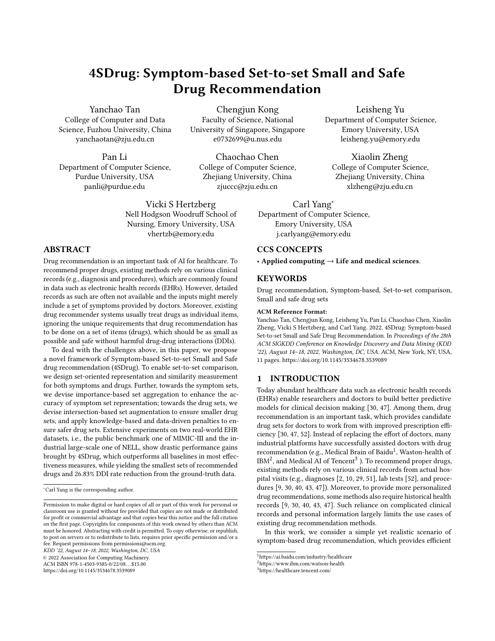

Figure 2: Overview of our proposed Symptom-based Set-to-set Small and Safe Drug Recommendation (4SDrug) framework.

information only from patients' current visit. However, these models still require access to patients' various personal information beyond symptoms, which may lead to severe privacy concerns.

Furthermore, considering drug-drug interactions (DDIs) [20, 38] is necessary in recommending drug sets, since the mixture of drugs may undermine the therapeutic effect and cause side effects. Existing studies model DDIs implicitly either via knowledge graphs (KGs) [10, 40], reinforcement post-processing [51], or acquiring probability distributions of safe drug sets from raw EHR records for adversarial regularization [43]. However, such additional data like KGs are not always applicable. There are also studies that model DDIs explicitly with a controllable loss function [30, 47]. Although these works have considered DDIs, they fail to control the number of recommended drugs, which may increase patient's financial burden and make patient reluctant of taking all of them.

Deep Learning with Sets. Since there are many domains where the data can be treated as unordered sets, recent years have witnessed a growth of interest in utilizing neural networks to learn set representations. Specifically, learning set representations has been widely studied in computer vision (CV) [13, 31, 49], natural language processing (NLP) [17], information retrieval [24], and product bundle recommendation [4]. For example, PointNet [25] applied multi-layer perceptron (MLP) and feature transformations on the elements in the set and used max-pooling to aggregate information. [32] measured the similarity between the input set and each one of the hidden sets by bipartite matching. However, the above set-oriented representation methods do not consider the unique properties of symptoms and drugs, and thus cannot be directly applied to our setting.

#### 3 THE 4SDRUG FRAMEWORK

## 3.1 Problem Statement and 4SDrug Overview

Our task of symptom-to-drug recommendation aims to generate a drug set as the treatment to a specific symptom set as shown in Figure 1. Let  $S = \{s_1, s_2, \ldots, s_M\}$  and  $\mathcal{D} = \{d_1, d_2, \ldots, h_N\}$  denote all symptoms and drugs, respectively. Each query consists of a symptom set and a drug set, e.g.,  $S^{(\tilde{i})} = \{s_1, s_2, \dots\}$  and  $\mathcal{D}^{(\tilde{i})} =$ 

 $\{d_1, d_2, \dots\}$ . We denote  $\mathsf{h}_{\mathcal{S}}^{(i)}$  $\overset{(i)}{\mathcal{S}}$  for  $i$  -th symptom set and  $\mathsf{h}_{\mathcal{D}}^{(i)}$  $\stackrel{(i)}{\mathcal{D}}$  for *i*-th drug set. Given a symptom set  $\mathcal{S}^{(i)}$ , an N-dimensional probability vector is computed, where the value of dimension  $k$  represents the probability that drug  $k$  can treat some symptoms inside  $S^{(i)}$ . This is achieved by a learned set-oriented similarity measurement  $g\{\mathsf{h}_{\mathsf{S}}^{(i)}\}$  $\mathcal{S}^{(i)}$ ,  $\mathsf{d}_j$ } between the representation of symptom set  $\mathsf{h}_{\mathcal{S}}^{(i)}$  $\int_{\mathcal{S}}^{(t)}$  and drug  $d_j$ , which also represents the probability of recommending drug  $d_j$  to treat  $\mathcal{S}^{(i)}$ . The input and output are defined as follows:

- $\bullet$  Input: Symptom sets  $\{\mathcal{S}^{(1)},\mathcal{S}^{(2)},\ldots,\mathcal{S}^{(Q)}\}$  and the drug sets  $\{ \mathcal{D}^{(1)}, \mathcal{D}^{(2)}, \ldots, \mathcal{D}^{(Q)} \}$  that treat  $\{ \mathcal{S}^{(1)}, \mathcal{S}^{(2)}, \ldots, \mathcal{S}^{(Q)} \}$ , where Q denote the total number of queries.
- Output: A learned set-oriented similarity measurement function  $g\{\mathsf{h}^{(i)}_{\mathcal{S}} %Mathcal{R}_{u}^{(i)}\}\mathsf{P}_{u}^{(i)}\}\mathsf{P}_{u}^{(i)}\|\mathsf{P}_{u}^{(i)}\|$  $S^{(i)}$ ,  $d_j$ }, which generates the probability vector for all drugs from  $\mathcal D$  given the symptom set  $\mathcal S^{(i)}$ .

We summarize the main modules of the 4SDrug framework in Figure 2 to provide an overview. 4SDrug takes symptom sets  $\mathcal{S}^{(i)}$ and drug sets  $\mathcal{D}^{(i)}$  as inputs, and performs symptom-to-drug recommendation with the help of three technical modules. In the set-to-set comparison module, we use  $h_{\mathcal{S}}^{(i)}$  $\overset{(i)}{\mathcal{S}}$  and  $\mathsf{h}_{\mathcal{D}}^{(i)}$  $\stackrel{(i)}{\mathcal{D}}$  to represent  $\mathcal{S}^{(i)}$  and  $\mathcal{D}^{(i)}$ via the proposed set-oriented representation method, and measure the relations between  $S^{(i)}$  and  $D^{(i)}$  via the set-oriented similarity measurement  $q\{\cdot,\cdot\}$ . In the symptom set module, 4SDrug reformulate  $h_{\mathcal{S}}^{(i)}$  $\mathcal{S}^{(t)}$  via importance-based set aggregation. Finally, in the *drug* set module, we recommend proper sets of drugs by intersectionbased set augmentation as well as a hybrid DDI penalty mechanism to ensure the principles of small and safe drug set.

#### 3.2 Set-to-set Comparison Module

Different from general recommendation which aims at modeling the relations between single users on one side and single items on the other, in drug recommendation, we need to consider sets of symptoms and sets of drugs. To model such set-to-set relations, a straightforward way is to represent symptom sets and drug sets by one-hot encoding. This is obviously inappropriate because there are many possible sets which appear for very small numbers of times.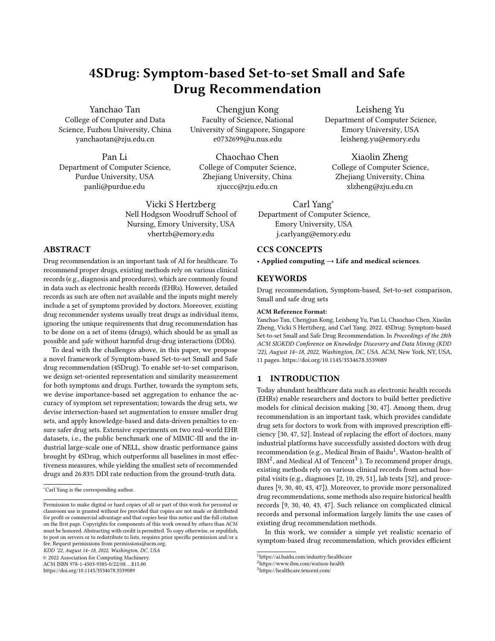Table 1: The occurrence times of symptom sets on MIMIC-III.

| $\#$ of set occurrence   1 2 3 4 5 6 7 > 8 |                       |  |  |  |  |
|--------------------------------------------|-----------------------|--|--|--|--|
| $#$ of set                                 | 23106 27 10 2 3 1 2 9 |  |  |  |  |

As shown in Table 1, over 99% cold-start sets only appear once on MIMIC-III. A model that ignores the intersections of similar sets can easily fail to properly model such cold-start sets. To address this, in this section, we first devise a set-oriented representation method for both symptoms and drugs, and then present set-oriented similarity measurement between symptom sets and drug sets.

3.2.1 Set-oriented Representation. To leverage the information of symptoms and drugs in sets and alleviate the cold-start problem brought by the set-oriented data, we represent a set based on its elements. Different from the data formats like sequences and lists, a set has two main properties: 1) Permutation invariance: a set keeps same no matter how its elements are permutated; 2) Variable cardinality: the set can have different sizes (shown in Figure 3a). These properties pose challenges in set representation, which invalidates existing methods using sequence models for drug sets [18, 40].

To satisfy these properties of sets, we use average pooling for the representation of symptom sets and drug sets, which is guaranteed to be permutation invariant and can handle variable cardinality. Let  $\mathsf{h}_{\mathsf{e}}^{(\hat{i})}$  $\overset{(\hat{i})}{\mathcal{S}}$  be the embedding for the symptom set  $\mathcal{S}^{(\hat{i})}$  and  $\textsf{h}_{\mathcal{D}}^{(i)}$  $\mathcal{D}^{(t)}$  be the embedding for doug set  $\mathcal{D}^{(i)}$ , we have the representation as:

$$
h_{S}^{(i)} = \sum_{s_{i'} \in S^{(i)}} \frac{1}{|S^{(i)}|} s_{i'}, \quad h_{\mathcal{D}}^{(i)} = \sum_{d_{i'} \in \mathcal{D}^{(i)}} \frac{1}{|\mathcal{D}^{(i)}|} d_{i'}, \qquad (1)
$$

where both  $s_{i'}$  and  $d_{i'}$  are the learnable embeddings of symptom  $s_{i'}$  and drug  $d_{i'}$ .

3.2.2 Set-oriented Similarity Measurement. To conduct symptombased set-to-set recommendation, we need to ensure that the representation of the symptom set  $\mathcal{S}^{(i)}$  is more similar to the drugs in  $\mathcal{D}^{(i)}$  than the drugs in  $\mathcal{D} - \mathcal{D}^{(i)}$ , which can be formulated as:

$$
\sin \mathbf{h}_{S}^{(i)}, \mathbf{h}_{D}^{(i)} \rightarrow_{S} \sin \mathbf{h}_{S}^{(i)}, \mathbf{h}_{-D}^{(i)},
$$
 (2)

where  $>$ <sub>S</sub> between sets denotes that the similarity of the former one is higher than that of the latter one.  $h_s^{(i)}$  $\mathbf{s}^{(i)}$ , h $\mathbf{h}_{\mathcal{D}}^{(i)}$  $\stackrel{(i)}{\mathcal{D}}$ , and  $\mathsf{h}_{-\mathcal{D}}^{(i)}$  are the representations of the symptom set  $\mathcal{S}^{(i)}$ , the drug set  $\mathcal{D}^{(i)}$  that treats  $S^{(i)}$ , and the drugs that are in  $\mathcal{D} - \mathcal{D}^{(i)}$ , respectively.

Note that, during training, all symptom sets and drug sets are given, but during testing, only symptom sets are given. To make the training phase and testing phase consistent, we should first generate drug sets, which are subsets of the drugs  $D$  with varying sizes. However, it is impossible to traverse  $2^N$  candidate drug sets for such set-oriented drug recommendation.

To capture the latent relations between symptoms and drugs effectively and efficiently, we take one step back and devise a setoriented similarity measurement  $g$  between symptom sets and individual drugs, to optimize the probability of recommending a drug based on a set of symptoms. Note that, modeling all elements individually is a common practice to approximate the modeling of the set as a whole to avoid the combinatorial complexity with approximation guarantee [6, 19], and we will revisit the set properties of drugs in Section 3.4. The measurement is:

$$
g \mathbf{h}_{S}^{(i)}, \mathbf{d}_{j} = \sigma \mathbf{h}_{S}^{(i)} \odot \mathbf{d}_{j} , \qquad (3)
$$



where  $\sigma$  is a sigmoid function to scale the output to a probability measure between 0 and 1. ⊙ represents the element-wise product. In this way, by summing up the similarity between  $\mathcal{S}^{(i)}$  and each drug  $d_i$  in the training phase, we can approximately calculate the similarity between symptom sets and drug sets as:

$$
\sin \frac{\mathbf{n}}{\mathbf{n}} \left( \mathbf{h}_{\mathcal{S}}^{(i)}, \mathbf{h}_{\mathcal{D}}^{(i)} \right) = \frac{1}{|\mathcal{D}^{(i)}|} \frac{|\mathbf{E}^{(i)}|}{j=1} \mathbf{n} \mathbf{n}_{\mathcal{S}}^{(i)}, \mathbf{d}_{j}.
$$
 (4)

Following abundant recent studies on drug set recommendation [30, 47, 51], we formulate the drug set recommendation as a multi-label binary classification task. Towards the recommended drug, we have  $g({\bf h}_{\bf s}^{(i)})$  $S^{(i)}$ ,  $d_j$   $\} \rightarrow 1$ ; towards the other drugs, we have  $g\{\mathsf{h}^{(i)}_{\mathbf{S}}, \mathsf{d}_i\} \rightarrow 0$ . Thereby, the objective function of set-to-set drug  $g_1 \cdots g_5$ ,  $g_j \cdots g_5$ ,  $g_i \cdots g_s$  $\mathcal{L}_{rec}^{(i)}$  =  $d_i \in \mathcal{D}^{(i)}$  $\log g$  h<sup>(i)</sup>  $\begin{array}{c} (i)$ ,  $d_j$  +  $d_i \in (\mathcal{D} - \mathcal{D}^{(i)})$  $\log 1 - g \ln \frac{f^{(i)}}{g}$  $\binom{i}{S}, \mathsf{d}_j$ , (5)

where  $\mathcal{D}^{(i)}$  is the drug set for treating symptom set  $\mathcal{S}^{(i)}$ .

#### 3.3 Symptom Set Module

Although the pooling strategy in Eq. 1 can be applied to convert a set of symptom embeddings to one unified set representation, it cannot capture the different importance of symptoms, which should be considered carefully when doctors perform diagnosis. For example, as shown in Figure 1, Fever is more important than other symptoms (e.g., Chills) of Lisa since it directly leads to the diagnosis of viral influenza. Moreover, since symptoms have different frequencies (shown in Figure 3b), the averaging strategy that is prone to the ignorance of unusual symptoms will lead to the failure of disease detection. For example, Dark neck skin is a rare symptom of diabetes, which deserves more attention when representing a symptom set so as to recommend diabetes-oriented drugs.

To capture the aforementioned different importance of symptoms in a symptom set, we design an importance-based set aggregation mechanism, which is inspired by the attention mechanism in neural networks [17]. Specifically, we rewrite  $h_s^{(i)}$  $\mathcal{S}^{(t)}$  in Eq. 1 to explicitly take the importance of symptoms into consideration as follows:

$$
\mathsf{h}_{\mathcal{S}}^{(i)} = \mathsf{I}_{s_{i'} \in \mathcal{S}^{(i)}} \mathsf{I}_{s_z \in \mathcal{S}^{(i)}} \omega_z \mathsf{s}_{i'}, \tag{6}
$$

where  $\omega_{i'}$  is a learnable weight of symptom  $s_{i'}$  and  $s_{i'}$  denotes the embedding of  $s_{i'}$ . Furthermore, we add  $L_1$  normalization on the weights to eliminate the impact of varied sizes of different symptom sets (as shown in Figure 3a).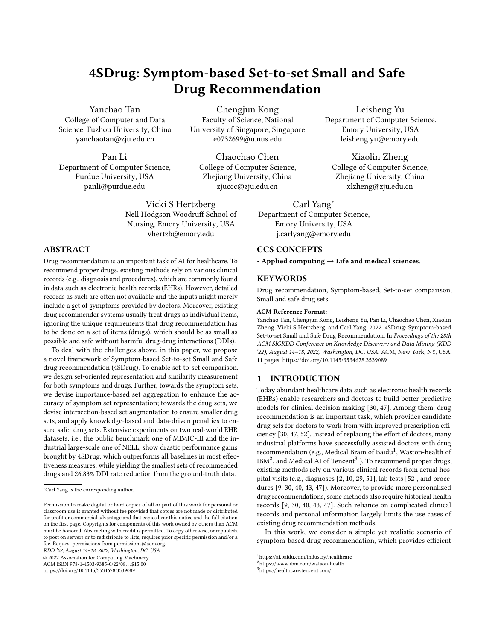## 3.4 Drug Set Module

In Section 3.2, for the efficiency of testing phase, we reduce the modeling of drug sets into individual drugs as a multi-label binary classification task. However, this does not take the unique requirements of recommending drug sets into consideration. Moreover, unlike set recommendation in E-commerce, where irrelevant items have little impact on customers and items in the set do not interact, extra drugs can be harmful and drugs can interact. Specifically, recommending more drugs than necessary can increase the patient's financial burden and reluctancy of taking all of them, and more drugs can also lead to more potential side effects and harmful drugdrug interactions (DDIs). Therefore, it is important to produce sets of drugs that are small and safe, besides high accuracy.

In light of this, we propose a small drug set principle and a safe drug set principle, which explicitly stress the effective drugs and model DDIs based on the set-oriented data.

3.4.1 Small Drug Set Principle. The small set principle aims to treat symptoms as much as possible by recommending as small number of drugs as possible. However, directly limiting the recommended number of drugs may sacrifice the treatment towards really severe and complicated diseases. With the only knowledge about symptom sets  $S^{(i)}$  and drug sets  $\mathcal{D}^{(i)}$ , it is challenging to reduce the size of recommended drug sets while still ensuring the effectiveness.

Inspired by the way how experienced doctors prescribe drugs [28] and the popular voting mechanism [11] that regards the overlaps of decisions as more confident, we propose intersection-based set augmentation by paying attention to the overlapping symptoms and overlapping drugs. For example, as shown in Figure 1, the symptom sets of  $u_1$  and  $u_3$  overlap on Headache while the drug sets of them overlap on Ibuprofen, so Ibuprofen is more likely effective for Headache, and we augment a new positive relation between this pair of symptoms and drugs.

To efficiently augment the data, we aim to find pairs of symptom sets with more overlapping elements. Specifically, given a symptom set  $S^{(i)}$ , we first rank all other symptom sets based on their Jaccard coefficients with  $S^{(i)}$ , and select the candidate  $S^{(N_i)}$  with the largest score, which is formulated as:

$$
N_i = \arg \max |\mathcal{S}^{(i)} \cap \mathcal{S}^{(N_i)}| / |\mathcal{S}^{(i)} \cup \mathcal{S}^{(N_i)}|.
$$
 (7)

Then, the intersection of the two symptom sets (i.e.,  $\mathcal{S}^{(i)}$  and  $\mathcal{S}^{(\mathcal{N}_i)})$ and the intersection of the two drug sets (i.e.,  $\mathcal{D}^{(i)}$  and  $\mathcal{D}^{(N_i)}$ ) are obtained as follows:

$$
\mathcal{S}_{\cap}^{(i,N_i)} = \mathcal{S}^{(i)} \cap \mathcal{S}^{(N_i)}, \quad \mathcal{D}_{\cap}^{(i,N_i)} = \mathcal{D}^{(i)} \cap \mathcal{D}^{(N_i)}.
$$
 (8)

According to the representation of symptom set in Eq. 6, we obtain the representation for the intersection symptom set  $S_{\cap}^{(i,N_i)}$ :

$$
\mathsf{h}_{\mathcal{S}\cap}^{(i,\mathcal{N}_i)} = \mathsf{f}_{\mathcal{S}_i^{(i,\mathcal{N}_i)}} \mathsf{f}_{\mathcal{S}_z \in \mathcal{S}_i^{(i,\mathcal{N}_i)} \omega_z} \mathsf{S}_{i'}, \tag{9}
$$

Finally, to highlight the effective relations between symptom sets and drug sets, we add a new objective function based on the intersection as follows:

$$
\mathcal{L}_{inter}^{(i)} = \log g \, \mathbf{h}_{S \cap}^{(i,N_i)} \mathbf{d}_j
$$
\n
$$
+ \log(1 - g \, \mathbf{h}_{S \cap}^{(i,N_i)} \mathbf{d}_j)
$$
\n
$$
+ \log(1 - g \, \mathbf{h}_{S \cap}^{(i,N_i)} \mathbf{d}_j).
$$
\n
$$
(10)
$$

In this case, we encourage the drugs in  $\mathcal{D}_{\bigcap}^{(i,\mathcal{N}_i)}$  to be recommended while decreasing the probability of recommending the drugs in  $\mathcal{D} - \mathcal{D}_{\cap}^{(i,N_i)}$ , so as to keep the effective drugs only and reduce the number of recommended drugs.

3.4.2 Safe Drug Set Principle. The safe drug set principle aims to recommend a set of drugs that can avoid the drug-drug interactions (DDIs). Existing works model DDIs via soft or indirect constraints, like knowledge graphs (KGs) [22, 39] and reinforcement post-processing [51]. However, the implicit handling of DDIs results in non-controllable rates in the final recommendation or sub-optimal recommendation accuracy.

To address these limitations, the existing studies leverage the drug knowledge base (DKB) [37] to explicitly model DDIs, which is not always applicable. Specifically, they are only applicable to datasets whose drug codes can be converted to ATC Third Level [30] (e.g., MIMIC-III). For other datasets, such as the industrial one of NELL, such external DKB cannot be leveraged since the drugs are encoded with American Hospital Formulary System (AHFS) drug encoding [8, 23] and cannot be converted to ATC Third Level.

To prevent DDIs on all kinds of datasets, we introduce a hybrid penalty mechanism, which includes: 1) the knowledge-based penalty, and 2) the data-driven penalty, where the data-driven one provide side signals as completments of the ground-truth DDIs.

Firstly, on datasets whose drug encodings can be converted to ATC Third Level, we are able to leverage the ground-truth DDIs from the DKB. Specifically, we design a knowledge-based penalty  $\mathcal{L}_{K-DDI}^{(i)}$  on the predicted similarity based on external DDI adjacency matrix  $A^d$ , which is computed from TWOSIDES dataset [37] via the ATC Third Level drug codes. For the representations of two durgs  $\mathbf{d}_k$  and  $\mathbf{d}_l$ , if the combination of drug  $d_k$  and drug  $d_l$ induce a DDI, then  $A_{kl}^d = 1$ . Intuitively, we want the probability of recommending a pair of drugs to be penalized if the two drugs induce DDI, which we enforce with the following objective:

$$
\mathcal{L}_{K-DDI}^{(i)} = \bigotimes_{d_k \in \mathcal{D} \ d_l \in \mathcal{D}} (\mathbf{A}_{kl}^d \cdot (g \mathbf{h}_{\mathcal{S}}^{(i)}, \mathbf{d}_k \cdot g \mathbf{h}_{\mathcal{S}}^{(i)}, \mathbf{d}_l))
$$
 (11)

where  $\cdot$  is the product between scalars.  $g\{\boldsymbol{h}_{\boldsymbol{\varsigma}}^{(i)}\}$  $S^{(i)}$ , d<sub>k</sub> } · g{h $_S^{(i)}$  $_S^{(i)}$ , d<sub>l</sub> } denotes a pair-wise probability of recommending  $d_k$  and  $d_k$  together.

Secondly, on top of the knowledge-based penalty, and in cases where the knowledge-based penalty cannot be applied, we design a data-driven penalty as side signals for the safe drug set principle.

Since we stress the relations between the intersections of symptom sets and drug sets in Eq. 10, the drugs in the difference set of two similar drug sets are seldom used together and may have DDIs. For example, {Compound Liquorice Tablets, Ibuprofen} and {Azithromycin, Ibuprofen} can be used to treat cough with headache. However, taking Compound Liquorice Tablets with Azithromycin may lead to cardiac arrhythmia. Compound Liquorice Tablets and Azithromycin do not appear in the ground-truth DDI table but show up in the difference set of two drug sets for similar symptoms for more than 150K times in the dataset. Based on this intuition, we propose to punish the relations between  $\mathcal{S}_{\cap}^{(i,N_i)}$  and the difference sets of the two drug sets, where the relative complement of  $\mathcal{D}^{(i)}$ in  $\mathcal{D}^{(N_i)}$  and that of  $\mathcal{D}^{(N_i)}$  in  $\mathcal{D}^{(i)}$  are calculated as:

$$
\mathcal{D}_{-}^{(i)} = \mathcal{D}_{\cap}^{(i)} - \mathcal{D}_{\cap}^{(i,N_i)}, \quad \mathcal{D}_{-}^{(N_i)} = \mathcal{D}_{\cap}^{(N_i)} - \mathcal{D}_{\cap}^{(i,N_i)}.
$$
 (12)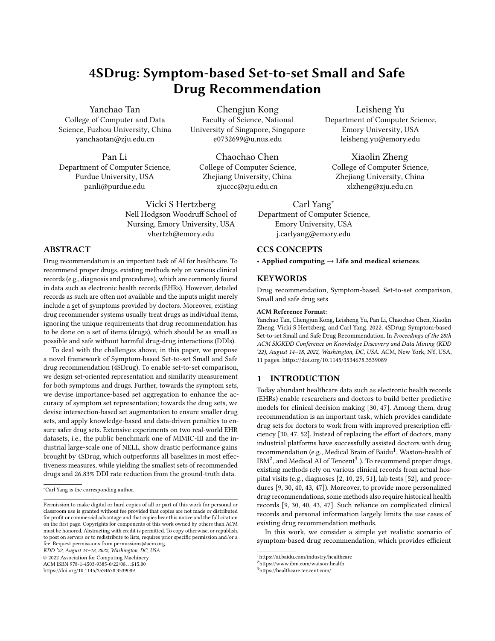Table 2: Statistics of the datasets used in our experiments.

| Items                             | MIMIC-III | NELL    |
|-----------------------------------|-----------|---------|
| # of visits                       | 27,869    | 278,388 |
| # symptom                         | 1,113     | 17,898  |
| $#$ drugs                         | 131       | 230     |
| avg # of symptoms per symptom set | 31.81     | 11.02   |
| avg # of drugs per drug set       | 14.36     | 7.62    |
| total # of DDI pairs              | 448       |         |

With such infrequently recommended pairs, we enforce an additional data-driven penalty objective by yielding large  $\mathcal{L}_{D-DDI}^{(i)}$  if  $(i)$ 

$$
d_k \text{ appear in } \mathcal{D}(\mathbf{i})
$$
  

$$
\mathcal{L}^{(i)}_{D-DDI} = \n\begin{array}{c}\ng \text{ in } \mathcal{D}^{(N_i)} \\
\mathcal{L}^{(i)}_{D-DDI} = \n\end{array}\n\quad\n\text{g} \text{ h}_{S \cap}^{(i, N_i)} \text{,} \n\begin{array}{c}\n\text{g} \text{ is the same,} \\
\mathcal{L}^{(i)}_{S \cap} \text{,} \mathbf{d}_k \cdot \mathbf{g} \text{ h}_{S \cap}^{(i, N_i)} \text{,} \mathbf{d}_l\n\end{array} \n\quad (13)
$$

Finally, we apply weighted sum strategy over the loss for training the final proposed objective as follows:

$$
\mathcal{L} = \mathcal{L}_{rec} + \alpha \mathcal{L}_{inter} + \beta (\mathcal{L}_{K-DDI} + \mathcal{L}_{D-DDI}),
$$
 (14)  
where  $\alpha$  controls the weight of the loss  $\mathcal{L}_{inter}$  from intersection-  
based set augmentation and  $\beta$  controls the weight of the hybrid  
DDI loss, respectively.

# 4 INSIGHTS AND DISCUSSIONS

Our development and experiments of 4SDrug have led to several unique insights. (1) Modeling sets as sets instead of sequences is important: in this way, we can get rid of the irrelevant signals from the orders of the elements by ensuring permutation-invariant set representation; (2) differentiating the importance of elements in a set is important: by discovering and highlighting rare but significant elements, the overall representations of sets can be largely improved; (3) combining external knowledge and data-driven knowledge is important: they compliment each other and allow us to achieve drug sets with more controllable sizes and less harmful drug-drug interactions.

This work intends to study and develop a comprehensive and automatic drug recommendation pipeline, to help doctors quickly locate possible drugs and avoid harmful drug-drug interactions. The set-up of 4SDrug is designed so that it can be easily implemented into a deployable system for the real-world application of drug recommendation: 4SDrug focuses on the input of general symptoms without other patient-specific information, allowing the model to be efficient for large-scale real-time drug recommendation, and at the same time, secure from compromising patients' privacy. Note that, the goal of 4SDrug is to provide complementary assistance to doctors for efficient and safe drug prescription, and its recommendations should be further considered by the doctors given the more complicated and private information of individual patients. It is not suggested to be directly used by individuals without necessary medical expertise at its current stage.

## 5 EXPERIMENT

In this section, we evaluate our proposed 4SDrug framework focusing on the following four research questions:

• RQ1: How does 4SDrug perform in comparison to state-of-theart recommendation methods?

- RQ2: What are the effects of different model components?
- RQ3: How do the hyperparameters affect the recommendation performance and how to choose optimal values?
- RQ4: What real drugs are recommended by 4SDrug and how are they accurate, small, and safe?

## 5.1 Experimental Setup

5.1.1 Datasets and Evaluation Protocols. We use two real-world EHR datasets to verify the effectiveness of compared methods, i.e., the public benchmark one of MIMIC-III [15] and the industrial large-scale one of NELL. NELL is provided by the Nell Hodgson Woodruff School of Nursing at Emory University. Both datasets are fully anonymized and carefully sanitized before our access. The statistics are summarized in Table 2.

The symptoms here are extracted differently on two datasets. Specifically, the "query" field in NELL directly describes the symptoms of patients while MIMIC-III does not have this. Therefore, we adopt the symptom extraction from the clinical texts following [50] in MIMIC-III. Recall that the DKB from the TWOSIDES dataset [37] is applicable to datasets whose drug codes can be converted to ATC Third Level [30]. We apply the knowledge-based penalty for DDI on MIMIC-III, and skip it on NELL, whose drugs are encoded with AHFS [8, 23]. This actually emphasizes the value of our novel datadriven penalty for DDIs. Following [30, 47], we use two standard effectiveness metrics (i.e., Jaccard coefficient and F1 score) and two specific drug-set metrics (i.e., Avg # of drug and DDI Rate) to evaluate the results of drug recommendation. The detailed evaluation protocols can be found in Appendix. A.

5.1.2 Baselines. We compare 4SDrug with the following baselines from two perspectives: 1) traditional set-oriented models: K-freq [40], K-near [30], ECC [47], and MLP [40]; 2) existing drug recommendation methods: LEAP [51], RETAIN [9], GAMENet [30], and SafeDrug [47]. Following the recent works in drug recommendation [30, 47], we do not compare with general recommendation methods because they cannot provide drug set recommendations. The details of the compared baselines can be referred in Appendix B.

5.1.3 Implementation Details. The full code for our 4SDrug is available<sup>5</sup>. Implementations of the compared baselines are from GAMENet<sup>6</sup> and SafeDrug<sup>7</sup>. We follow the same setting as [30, 47] and split the dataset into training, validation, and testing with a ratio of 4:1:1. We tune all hyperparameters on the validation set through grid search, in particular,  $\alpha$  in  $\alpha$  in  $\{0, 0.25, 0.50, 0.75, 1.00\}$ ,  $\beta$  in {0, 0.25, 0.50, 0.75, 1.00, 1.25}. We use 64 as the embedding size for all compared methods on both MIMIC-III and NELL. The batch size is set to 50. We also carefully tune the hyperparameters of baselines on the validation set as suggested in the original papers to achieve their best performance.

## 5.2 Overall Performance Comparison (RQ1)

We compare the recommendation results of the proposed 4SDrug framework to those of the baseline models. Table 3 shows the Jaccard, F1, Avg # of drug, and DDI Rate on MIMIC-III. Since the

<sup>5</sup>https://github.com/Melinda315/4SDrug

<sup>6</sup>https://github.com/sjy1203/GAMENet

<sup>7</sup>https://github.com/ycq091044/SafeDrug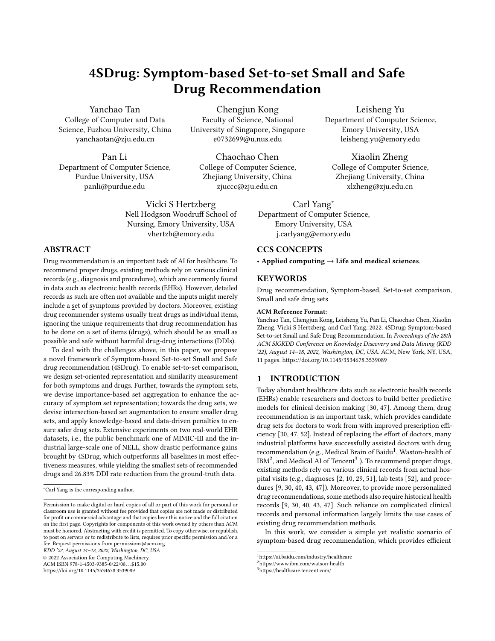| Method         | Jaccard             | F1                  | $Avg \# of Drug$     | <b>DDI</b> Rate     | $ \Delta $ Avg # of Drug | $\Delta\%$ DDI Rate |
|----------------|---------------------|---------------------|----------------------|---------------------|--------------------------|---------------------|
| K-freq         | $0.4048 \pm 0.0011$ | $0.5681 \pm 0.0013$ | $18.7622 \pm 0.0584$ | $0.0659 \pm 0.0003$ | 4.4022                   | $-19.63%$           |
| K-near         | $0.4041 \pm 0.0030$ | $0.5593 \pm 0.0030$ | $19.2018 \pm 0.1569$ | $0.0815 \pm 0.0007$ | 4.8418                   | $-0.61%$            |
| ECC            | $0.4499 \pm 0.0030$ | $0.5977 \pm 0.0030$ | $17.9707 + 0.1125$   | $0.0808 \pm 0.0008$ | 3.6107                   | $-1.46\%$           |
| <b>MLP</b>     | $0.4788 \pm 0.0011$ | $0.6317 + 0.0011$   | $18.0724 + 0.0853$   | $0.0821 + 0.0005$   | 3.7124                   | $+0.12%$            |
| <b>LEAP</b>    | $0.4677 \pm 0.0011$ | $0.6081 \pm 0.0013$ | $18.5374 \pm 0.0646$ | $0.0645 \pm 0.0001$ | 4.1774                   | $-21.34%$           |
| <b>RETAIN</b>  | $0.4717 \pm 0.0024$ | $0.6290 \pm 0.0023$ | $18.9957 \pm 0.0391$ | $0.0817 \pm 0.0003$ | 4.6357                   | $-0.36\%$           |
| <b>GAMENet</b> | $0.4848 \pm 0.0022$ | $0.6393 + 0.0021$   | $26.3139 \pm 0.0668$ | $0.0975 \pm 0.0003$ | 11.9539                  | $+18.90%$           |
| SafeDrug       | $0.4894 \pm 0.0020$ | $0.6454 \pm 0.0018$ | $19.7909 \pm 0.0531$ | $0.0649 \pm 0.0002$ | 5.4309                   | $-20.85%$           |
| 4SDrug         | $0.5041 \pm 0.0016$ | $0.6581 \pm 0.0016$ | $17.5040 \pm 0.0533$ | $0.0600 \pm 0.0004$ | 3.1440                   | $-26.83%$           |

Table 4: Ablation analysis of our proposed 4SDrug on MIMIC-III.

| <b>Submodels</b>                        | <b>Jaccard</b> | F1     | $Avg \# of Drug$ | DDI Rate | $\Delta$ Avg # of Drug | $\Delta$ DDI Rate |
|-----------------------------------------|----------------|--------|------------------|----------|------------------------|-------------------|
| MLP with one-hot set encodings          | 0.4788         | 0.6317 | 18.0724          | 0.0821   | 3.7124                 | $+0.12%$          |
| + set-to-set comparison module (1SDrug) | 0.4873         | 0.6427 | 18.1452          | 0.0827   | 3.7852                 | $+0.85%$          |
| + symptom set module (2SDrug)           | 0.5071         | 0.6608 | 19.7129          | 0.0787   | 5.3529                 | $-4.02\%$         |
| + small drug set principle (3SDrug)     | 0.5078         | 0.6614 | 18.3079          | 0.0770   | 3.9479                 | $-6.10%$          |
| + safe drug set principle (4SDrug)      | 0.5041         | 0.6581 | 17.5040          | 0.0600   | 3.1440                 | $-26.83%$         |

Table 5: Experimental results on NELL. Ground-truth Avg # Drug is 7.6200.

| Method        | Jaccard             | F1                  | $Avg \# of Drug$    |
|---------------|---------------------|---------------------|---------------------|
| K-freq        | $0.1495 \pm 0.0009$ | $0.2435 \pm 0.0014$ | $9.1854 \pm 0.0284$ |
| K-near        | $0.1423 \pm 0.0017$ | $0.2362 \pm 0.0020$ | $9.2026 \pm 0.0894$ |
| <b>ECC</b>    | $0.1985 \pm 0.0024$ | $0.2770 \pm 0.0013$ | $9.5066 \pm 0.1005$ |
| MLP           | $0.2371 \pm 0.0015$ | $0.3040 \pm 0.0012$ | $9.6521 \pm 0.0498$ |
| <b>LEAP</b>   | $0.2359 \pm 0.0010$ | $0.2980 \pm 0.0011$ | $9.6191 \pm 0.0250$ |
| <b>RETAIN</b> | $0.2441 \pm 0.0013$ | $0.3098 \pm 0.0023$ | $9.8006 \pm 0.0198$ |
| 4SDrug        | $0.2618 \pm 0.0015$ | $0.3485 \pm 0.0016$ | $9.1380 \pm 0.0278$ |

DKB is not applicable to NELL, we only verify the performance on NELL with the first three metrics except DDI Rate in Table 5.

In general, 4SDrug outperforms all baselines across all evaluation metrics on both datasets. This answers RQ1, showing that our proposed symptom-based set-to-set recommendation framework is capable of effective drug set recommendation. Note that, limited by the deep reliance on DDI knowledge, some baselines (e.g., GAMENet and SafeDrug) are not available on NELL, and the second best performance scattered among different models like SafeDrug and RETAIN. Compared with the second best performance, the performance gains of 4SDrug in terms of Jaccard and F1 range from reasonably large (1.79% achieved with F1 on the MIMIC-III dataset) to significantly large (12.49% achieved with F1 on the NELL dataset).

Moreover, the proposed 4SDrug method can achieve best Jaccard and F1 scores with the smallest number of recommended drugs on both MIMIC-III and NELL, which is particularly evident for its effectiveness towards the small drug set principle. Note that, real drug records usually contain high DDI Rate, e.g., around 0.0850 on MIMIC-III. Although GAMENet already consider DDI based on DKG, it does not consider the number of recommended drug and outputs undesirable DDI Rate, which is consistent with the results in the recent work [47]. The proposed 4SDrug framework can achieve the lowest value on DDI Rate (i.e., 0.0600 on MIMIC-III). Table 6: Model Complexity Comparison.

| Dataset     | Model          | # of Param. | Training(s) | Testing(s) |
|-------------|----------------|-------------|-------------|------------|
|             | <b>LEAP</b>    | 252,675     | 243.79      | 18.65      |
| MIMIC-III   | <b>RETAIN</b>  | 255,947     | 100.23      | 15.64      |
|             | <b>GAMENet</b> | 365,258     | 150.47      | 18.03      |
|             | SafeDrug       | 285,612     | 134.68      | 18.49      |
|             | 4SDrug         | 79,681      | 18.00       | 14.93      |
|             | <b>LEAP</b>    | 252,675     | 859.65      | 69.12      |
| <b>NELL</b> | <b>RETAIN</b>  | 255,947     | 438.76      | 47.97      |
|             | 4SDrug         | 79,681      | 17.43       | 45.26      |

Table 6 shows the runtimes of 4SDrug and four baselines for drug recommendation, where 4SDrug is more efficient with lower space and time complexity than others. Specifically, our set-to-set recommendation does not involve complex neural architectures and is trivially compatible with efficient mini-batch training. Among the four compared methods, LEAP adopts sequential modeling and recommend drugs one by one, and thus is the most time-consuming. GAMENet stores a large memory bank, and thus requires the largest space. By comparison, we conclude that 4SDrug is efficient and flexible, friendly towards real industrial deployment.

#### 5.3 Model Ablation Study (RQ2)

To better understand 4 "S" in 4SDrug, we closely study our framework by adding the components one by one, i.e., set-to-to comparison module (1SDrug), symptom sets module (2SDrug), small drug set principle (3SDrug), and safe drug set principle (4SDrug). From Table 4, we have the following observations:

• 1SDrug outperforms MLP not only on the effectiveness metrics by achieving 3.24% improvement in Jaccard and 2.18% improvement in F1, but also on the drug-set metrics by achieving a 1.15 decrease in drug number and a 0.97% DDI Rate reduction. Such results are consistent with those in Table 3 and Table 5, showing the effectiveness of mining complex relations among sets.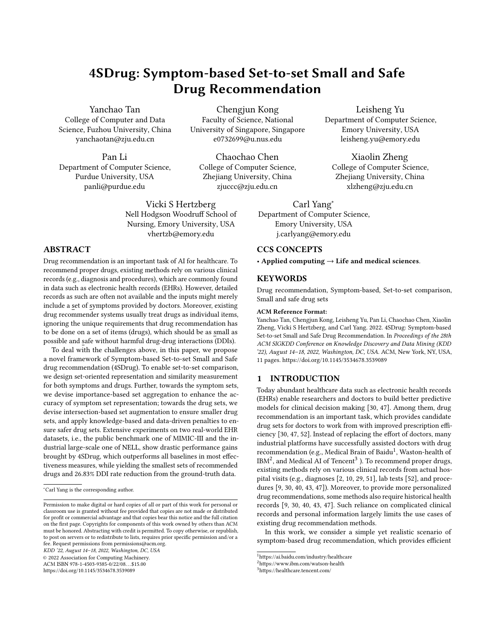Table 7: Example recommended drug set for a given symptom set on MIMIC-III. Here "FN" refers to the drugs that are in the ground-truth drug sets but are not predicted, while "FP" indicates the drugs predicted but are not in ground-truth drug sets. The drug pairs denoted by the same non-black colors have harmful DDIs. Best viewed in color.

| Method                         | Recommended Drug Set                                                                                               |
|--------------------------------|--------------------------------------------------------------------------------------------------------------------|
| Ground-Truth                   | 7 TP (Antithrombotic Agents; Other Mineral Supplements; Anesthetics, General; Irrigating Solutions; Stomatological |
| Num:7                          | Preparations; Vitamin B1, Plain and in Combination with Vitamin B6 and B12; Vitamin B12 and Folic Acid)            |
|                                | 6 TP (Antithrombotic Agents; Other Mineral Supplements; Anesthetics, General; Irrigating Solutions; Stomatological |
| <b>GAMENet</b>                 | Preparations; Vitamin B1, Plain and in Combination with Vitamin B6 and B12)                                        |
| Num: 19                        | 1 FN (Vitamin B12 and Folic Acid)                                                                                  |
| $Recall=6/7$<br>Precision=6/19 | 13 FP (Antiepileptics; Potassium; Other Abesics and Antipyretics; Drugs for Constipation; Drugs for Peptic Ulcer   |
|                                | and Gastro-Oesophageal Reflux Disease (GORD); Beta Blocking Agents; Adrenergics, Inhalants; Calcium; Opioids;      |
|                                | Quinolone Antibacterials; Arteriolar Smooth Muscle, Agents Acting on; Anxiolytics; Hypnotics and Sedatives)        |
| SafeDrug                       | 3 TP (Antithrombotic Agents; Other Mineral Supplements; Vitamin B12 and Folic Acid)                                |
| Num: $5$                       | 4 FN (Anesthetics, General; Irrigating Solutions; Stomatological Preparation; Vitamin B1, Plain and in Combination |
| $Recall=3/7$                   | with Vitamin B6 and B12)                                                                                           |
| Precision=3/5                  | 2 FP (Drugs for Peptic Ulcer and Gastro-Oesophageal Reflux Disease (GORD); Calcium)                                |
| 4SDrug                         | 6 TP (Antithrombotic Agents; Other Mineral Supplements; Anesthetics, General; Irrigating Solutions; Stomatological |
| Num: 8                         | Preparations; Vitamin B1, Plain and in Combination with Vitamin B6 and B12)                                        |
| $Recall=6/7$                   | 1 FN (Vitamin B12 and Folic Acid)                                                                                  |
| Precision=3/4                  | 2 FP (Other Analgesics and Antipyretics; Drugs for Constipation)                                                   |



and the weight of  $(\mathcal{L}_{K-DDI} + \mathcal{L}_{D-DDI})$  (i.e.,  $\beta$ ) on MIMIC-III.

- Compared with 1SDrug, 2SDrug achieves performance gains on the effectiveness metrics by achieving 2.59% improvement in Jaccard and 2.37% improvement in F1. In the drug-set metrics, 2SDrug bring about 3.2% DDI Rate reduction and 1.57 increase in drug number, since 2SDrug does not consider the unique requirements of drug sets.
- Moreover, the performance gain of 3SDrug over 2SDrug includes both effectiveness metrics and drug-set metrics, where 3SDrug can achieve 1.41 decrease in drug number and 2.16% DDI Rate reduction based on 2SDrug. These results show the effectiveness of applying our novel intersection-based set augmentation.
- 4SDrug can achieve the smallest number of drugs and the lowest DDI Rate with significant 20.73% improvement over the DDI of 3SDrug. Although 4SDrug brings a slight decrease on the effectiveness metrics, it can finally achieve a satisfactory tradeoff among the multiple objectives of drug recommendation.

#### 5.4 Major Hyperparameter Study (RQ3)

Our proposed 4SDrug framework mainly introduces two hyperparameters, i.e.,  $\alpha$ , and  $\beta$ , which control the weight of the loss  $\mathcal{L}_{inter}$ from intersection-based set augmentation and the hybrid DDI loss, respectively. Here we show how these two hyperparameters impact the performance and clarify how to set them.

Firstly, we show the model performance with varying  $\mathcal{L}_{inter}$ . The loss  $\mathcal{L}_{inter}$  can control the number of drug. If  $\alpha$  is too small, the interactions between the intersection symptom set and drugs will likely be weakened. However, too large  $\alpha$  will likely cause the model to overfit. The results are shown in Figure 4a. We found that the optimal  $\alpha$  values on MIMIC-III to be about 0.5. Note that, when  $\alpha \in [0, 1]$ , 4SDrug is always better than the best baseline. In the range of [0,1], the optimal  $\alpha$  can be obtained by slight tuning.

Secondly, for hyperparameter  $\beta$ , the optimal  $\beta$  on MIMIC-III is 1.0, as shown in Figure 4b. In particular, we observe the effectiveness of  $\mathcal{L}_{K-DDI}$  and  $\mathcal{L}_{D-DDI}$  as increasing  $\beta$  always leads to the reduction of drug number. However, further increasing it beyond the optimal value makes the accuracy performance worse. In practice,  $\beta$  = 1.0 seems to be the rule-of-thumb.

# 5.5 Case Studies (RQ4)

To demonstrate the advantages of 4SDrug over the two drug recommendation baselines methods, we demonstrate the recommended drugs learned by GAMENet, SafeDrug, and the proposed 4SDrug on MIMIC-III. Some example results are presented in Table 7 and more results can be found in Table C.1 in Appendix C. According to the listed metrics, we have the following observations.

In general, 4SDrug achieves the highest value on Recall and Precision under the given symptom set {Sputum, Ulcer, Cool, Cough, Bleed, ...}. The only one FN drug of 4SDrug is Vitamin B12 and Folic Acid, and by checking DKB, we find the reason of not recommending this drug as to avoid the harmful DDIs between Vitamin B12 and Folic Acid and Stomatological Preparations. Note that, compared with GAMENet that recommend too many drugs with many DDIs, 4SDrug can automatically avoid DDIs, which is consistent with its overall advantageous performance in Table 3.

Since different doctors might give different drug sets for a certain symptom set [14], and thus no gold-standard ground truth exists. In this case, 4SDrug, which provides small and safe drug sets learned from various doctors actual prescriptions, may even serve as a better option than the provided ground-truth drug sets.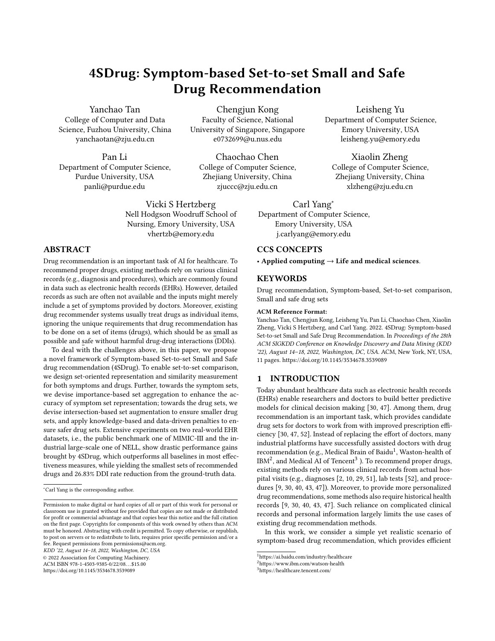## 6 CONCLUSION

In this paper, we propose a symptom set-based drug recommendation framework, towards the prescription assistance for doctors and privacy protection for patients. Specifically, we propose a novel framework of Symptom-based Set-to-set Small and Safe drug recommendation (4SDrug), including a set-to-set comparison module, a symptom set module, and a drug set module. Extensive quantitative experiments demonstrate the clear advantages of our 4SDrug over the state-of-the-art baselines towards the recommendation of accurate, small and safe drug sets, which is further consolidated with our real case study results.

# ACKNOWLEDGMENTS

Xiaolin Zheng was supported by the National Natural Science Foundation of China (No.62172362 and No.72192823).

#### REFERENCES

- [1] A. Avati, K. Jung, S. Harman, L. Downing, A. Ng, and N. H. Shah. Improving palliative care with deep learning. BMC medical informatics and decision making, 18(4):55–64, 2018.
- [2] J. M. Bajor and T. A. Lasko. Predicting medications from diagnostic codes with recurrent neural networks. In ICLR, 2017.
- [3] Y. Bao and X. Jiang. An intelligent medicine recommender system framework. In ICIEA, pages 1383–1388, 2016.
- [4] L. Chen, Y. Liu, X. He, L. Gao, and Z. Zheng. Matching user with item set: Collaborative bundle recommendation with deep attention network. In Proceedings of the Twenty-Eighth International Joint Conference on Artificial Intelligence, IJCAI-19, 2019.
- [5] M. Chen and H. Wang. The reason and prevention of hospital medication errors. Practical Journal of Clinical Medicine, 4, 2013.
- [6] U. Chitra and B. Raphael. Random walks on hypergraphs with edge-dependent vertex weights. In International Conference on Machine Learning, 2019.
- [7] E. Choi, M. T. Bahadori, A. Schuetz, W. F. Stewart, and J. Sun. Doctor ai: Predicting clinical events via recurrent neural networks. In Machine learning for healthcare conference, pages 301–318, 2016.
- [8] E. Choi, M. T. Bahadori, E. Searles, C. Coffey, M. Thompson, J. Bost, J. Tejedor-Sojo, and J. Sun. Multi-layer representation learning for medical concepts. In proceedings of the 22nd ACM SIGKDD international conference on knowledge discovery and data mining, 2016.
- [9] E. Choi, M. T. Bahadori, J. Sun, J. Kulas, A. Schuetz, and W. Stewart. Retain: An interpretable predictive model for healthcare using reverse time attention mechanism. NIPS, 29, 2016.
- [10] F. Gong, M. Wang, H. Wang, S. Wang, and M. Liu. Smr: Medical knowledge graph embedding for safe medicine recommendation. Big Data Research, 23:100174, 2021.
- [11] L. Guo, H. Yin, Q. Wang, B. Cui, Z. Huang, and L. Cui. Group recommendation with latent voting mechanism. In ICDE, pages 121–132, 2020.
- [12] C.-K. Hsieh, L. Yang, Y. Cui, T.-Y. Lin, S. Belongie, and D. Estrin. Collaborative metric learning. In WWW, pages 193–201, 2017.
- [13] M. Jia, X. Cheng, Y. Zhai, S. Lu, S. Ma, Y. Tian, and J. Zhang. Matching on sets: Conquer occluded person re-identification without alignment. In AAAI, pages 1673–1681, 2021.
- [14] Y. Jin, W. Zhang, X. He, X. Wang, and X. Wang. Syndrome-aware herb recommendation with multi-graph convolution network. In ICDE, pages 145–156, 2020.
- [15] A. E. Johnson, T. J. Pollard, L. Shen, L.-W. H. Lehman, M. Feng, M. Ghassemi, B. Moody, P. Szolovits, L. A. Celi, R. G. Mark, and et al. Mimic-iii, a freely accessible critical care database. Scientific Data, 3(1), 2016.
- [16] H.-C. Kao, K.-F. Tang, and E. Chang. Context-aware symptom checking for disease diagnosis using hierarchical reinforcement learning. In AAAI, 2018.
- [17] J. Lee, Y. Lee, J. Kim, A. Kosiorek, S. Choi, and Y. W. Teh. Set transformer: A framework for attention-based permutation-invariant neural networks. In ICML, pages 3744–3753, 2019.
- [18] C. Li, B. Wang, V. Pavlu, and J. Aslam. Conditional bernoulli mixtures for multilabel classification. In ICML, pages 2482–2491, 2016.
- [19] P. Li and O. Milenkovic. Inhomogoenous hypergraph clustering with applications. In Advances in Neural Information Processing Systems, 2017.
- [20] X. Lin, Z. Quan, Z.-J. Wang, T. Ma, and X. Zeng. Kgnn: Knowledge graph neural network for drug-drug interaction prediction. In IJCAI, pages 2739–2745, 2020.
- [21] Y. Liu, X. Xia, L. Chen, X. He, C. Yang, and Z. Zheng. Certifiable robustness to discrete adversarial perturbations for factorization machines. In SIGIR, pages

419–428, 2020.

- [22] C. Mao, L. Yao, and Y. Luo. Medgcn: Graph convolutional networks for multiple medical tasks. arXiv preprint arXiv:1904.00326, 2019.
- G. K. McEvoy. Ahfs drug information. Oncology Issues, 9(5):12-13, 1994.
- [24] L. Pang, J. Xu, Q. Ai, Y. Lan, X. Cheng, and J. Wen. Setrank: Learning a permutation-invariant ranking model for information retrieval. In SIGIR, 2020.
- [25] C. R. Qi, H. Su, K. Mo, and L. J. Guibas. Pointnet: Deep learning on point sets for 3d classification and segmentation. In CVPR, 2017.
- [26] L. Rasmy, Y. Xiang, Z. Xie, C. Tao, and D. Zhi. Med-bert: pretrained contextualized embeddings on large-scale structured electronic health records for disease prediction. NPJ digital medicine, 4(1):1–13, 2021.
- [27] S. Rendle, C. Freudenthaler, Z. Gantner, and L. Schmidt-Thieme. Bpr: Bayesian personalized ranking from implicit feedback. In UAI, pages 452—-461, 2009.
- [28] C. L. A.-P. Rutter and D. Newby. Community Pharmacy-E-Book, livre ebook. 2011. J. Shang, T. Ma, C. Xiao, and J. Sun. Pre-training of graph augmented transformers for medication recommendation. In IJCAI, pages 5953-5959, 2019.
- [30] J. Shang, C. Xiao, T. Ma, H. Li, and J. Sun. Gamenet: Graph augmented memory networks for recommending medication combination. In AAAI, pages 1126–1133, 2019.
- [31] Y. Shi, J. Oliva, and M. Niethammer. Deep message passing on sets. In AAAI, pages 5750–5757, 2020.
- [32] K. Skianis, G. Nikolentzos, S. Limnios, and M. Vazirgiannis. Rep the set: Neural networks for learning set representations. In AISTATS, pages 1410–1420, 2020. [33] Y. Tan, C. Yang, X. Wei, C. Chen, L. Li, and X. Zheng. Enhancing recommendation
- with automated tag taxonomy construction in hyperbolic space. In ICDE, 2022. [34] Y. Tan, C. Yang, X. Wei, C. Chen, W. Liu, L. Li, J. Zhou, and X. Zheng. Metacare++:
- Meta-learning with hierarchical subtyping for cold-start diagnosis prediction in healthcare data. In SIGIR, 2022.
- [35] Y. Tan, C. Yang, X. Wei, Y. Ma, and X. Zheng. Multi-facet recommender networks with spherical optimization. In ICDE, pages 1524–1535, 2021.
- [36] K.-F. Tang, H.-C. Kao, C.-N. Chou, and E. Y. Chang. Inquire and diagnose: Neural symptom checking ensemble using deep reinforcement learning. In NIPS Workshop on Deep Reinforcement Learning, 2016.
- [37] N. P. Tatonetti, P. P. Ye, R. Daneshjou, and R. B. Altman. Data-driven prediction of drug effects and interactions. Science translational medicine, 4(125):125ra31– 125ra31, 2012.
- [38] S. Vilar, E. Uriarte, L. Santana, T. Lorberbaum, G. Hripcsak, C. Friedman, and N. P. Tatonetti. Similarity-based modeling in large-scale prediction of drug-drug interactions. Nature protocols, 9(9):2147–2163, 2014.
- [39] M. Wang, M. Liu, J. Liu, S. Wang, G. Long, and B. Qian. Safe medicine recommendation via medical knowledge graph embedding. ArXiv e-prints, pages arXiv–1710, 2017.
- [40] S. Wang, P. Ren, Z. Chen, Z. Ren, J. Ma, and M. de Rijke. Order-free medicine combination prediction with graph convolutional reinforcement learning. In CIKM, pages 1623–1632, 2019.
- [41] X. Wang, T. Huang, D. Wang, Y. Yuan, Z. Liu, X. He, and T.-S. Chua. Learning intents behind interactions with knowledge graph for recommendation. In WWW, pages 878–887, 2021.
- [42] X. Wang, H. Jin, A. Zhang, X. He, T. Xu, and T.-S. Chua. Disentangled graph collaborative filtering. In SIGIR, pages 1001–1010, 2020.
- [43] Y. Wang, W. Chen, D. PI, L. Yue, S. Wang, and M. Xu. Self-supervised adversarial distribution regularization for medication recommendation. In IJCAI, pages 3134–3140, 2021.
- [44] Y. Xie, Z. Wang, C. Yang, Y. Li, B. Ding, H. Deng, and J. Han. Komen: Domain knowledge guided interaction recommendation for emerging scenarios. In WWW, pages 1301–1310, 2022.
- [45] C. Yang, L. Bai, C. Zhang, Q. Yuan, and J. Han. Bridging collaborative filtering and semi-supervised learning: a neural approach for poi recommendation. In KDD, pages 1245–1254, 2017.
- [46] C. Yang, A. Pal, A. Zhai, N. Pancha, J. Han, C. Rosenberg, and J. Leskovec. Multisage: Empowering gcn with contextualized multi-embeddings on web-scale multipartite networks. In KDD, pages 2434–2443, 2020.
- [47] C. Yang, C. Xiao, F. Ma, L. Glass, and J. Sun. Safedrug: Dual molecular graph encoders for recommending effective and safe drug combinations. In IJCAI, pages 3735–3741, 2021.
- [48] P. Zadeh, R. Hosseini, and S. Sra. Geometric mean metric learning. In ICML, pages 2464–2471, 2016.
- [49] M. Zaheer, S. Kottur, S. Ravanbakhsh, B. Poczos, R. R. Salakhutdinov, and A. J. Smola. Deep sets. In NIPS, volume 30, 2017.
- [50] X. Zeng, G. Yu, Y. Lu, L. Tan, X. Wu, S. Shi, H. Duan, Q. Shu, and H. Li. Pic, a paediatric-specific intensive care database. Scientific data, 7(1):1–8, 2020.
- [51] Y. Zhang, R. Chen, J. Tang, W. F. Stewart, and J. Sun. Leap: learning to prescribe effective and safe treatment combinations for multimorbidity. In KDD, pages 1315–1324, 2017.
- [52] Z. Zheng, C. Wang, T. Xu, D. Shen, P. Qin, B. Huai, T. Liu, and E. Chen. Drug package recommendation via interaction-aware graph induction. In WWW, pages 1284–1295, 2021.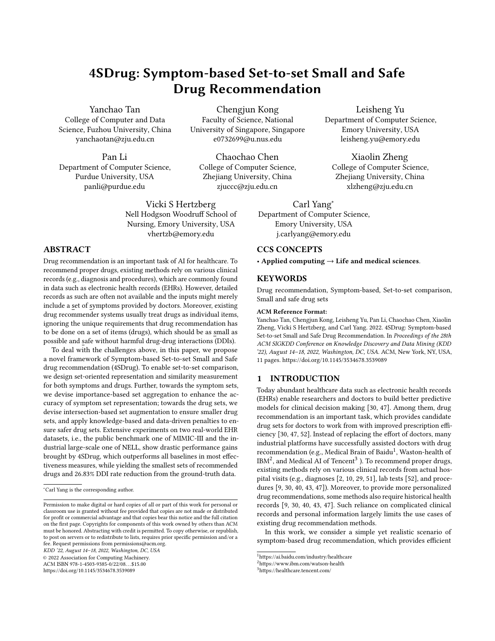KDD '22, August 14-18, 2022, Washington, DC, USA Yanchao Tan et al. (2012) 22, August 14-18, 2022, Washington, DC, USA

# APPENDIX

# A EVALUATION PROTOCOLS DETAILS

For a particular symptom set  $\mathcal{S}^{(i)}$  and the recommended drug set is  $D^{(i)}$ .  $\hat{D}^{(i)}$  is the ground truth drug set prescribed by doctors. The mean jaccard coefficient is defined as the size of the intersection divided by the size of the union of predicted drugs and ground truth drugs. Recall measures the completeness of predicted drugs and Precision measures the correctness of predicted drugs. F1 score is the harmonic mean of Precision and Recall, and is often used as a comprehensive evaluation metric of prediction models:

Jaccard = 
$$
\frac{1}{Q} \sum_{i}^{d} \frac{D^{(i)} \cap \hat{D}^{(i)}}{D^{(i)} \cup \hat{D}^{(i)}}
$$
, Recall =  $\frac{1}{Q} \sum_{i}^{d} \frac{D^{(i)} \cap \hat{D}^{(i)}}{\hat{D}^{(i)}}$   
\nPrecision =  $\frac{1}{Q} \sum_{i}^{d} \frac{D^{(i)} \cap \hat{D}^{(i)}}{D^{(i)}}$   
\n
$$
F1 = \frac{1}{Q} \sum_{i}^{d} \frac{2 * \text{ Precision}_{i} * \text{ Recall}_{i}}{\text{Precision}_{i} + \text{Recall}_{i}}
$$

where  $i$  is a query index in the test set.

To measure drug safety, we define DDI Rate as the percentage of drug recommendation that contain DDIs.

$$
\text{DDI Rate} = \frac{1}{Q} \sum_{i}^{\bullet} (d_a, d_b) \in D^{(i)} \& (d_a, d_b) \in \mathcal{E}_{ddi} / \bigcap_{a,b}^{0}
$$

where the set will count each drug pair  $(d_a, d_b)$  in recommendation set  $D^{(i)}$  if the pair belongs to drug knowledge base (DKB) in  $\mathcal{E}_{ddi}$ .

### B BASELINE DETAILS

• K-freq [40]. K-frequent predicts drugs by counting the the top  $K$ most frequently occurring drugs of each symptom. We tried  $K$ from 1 to 8 and finally set  $K$  to 5 according to the validation.

- K-near [30]. To prescribe drugs for a symptom set  $S_i$ , K-nearest selects the drugs prescribed for patient  $S_i$  that has the most similar symptom set embedding with  $S_i$ . Similarity between two sets is measured by Jaccard measurement. Here, we set  $K$  to 1.
- Ensemble Classifier Chain (ECC) [47]. Classifier chain (CC) is a popular multi-label classification approach, which feeds previous classification results into the latter classifiers. We implement a 10-member ensemble of CCs also by scikit-learn, where each CC consists of a dependent series of logistic regression classifiers.
- Multi-layer Perceptron (MLP) [40]. MLPs are conventional methods to solve multi-label classification problem, where we use a three-layer perceptron and sigmoid as activation function to predict the probability of each drug.
- LEAP [51] treats drug recommendation as a sentence generation task and recommend drugs one at a time.
- RETAIN [9] is a temporal based method. It utilizes a two-level RNN with reverse time attention to model the symptom information.
- GAMENet [30]. GAMENet adopts memory augmented neural networks and stores historical drug memory records as references for future prediction.
- SafeDrug [47]. SafeDrug propose dual molecular encoders to capture global and local molecule patterns and explicitly design DDI controllable loss function.

# C FULL CASE STUDIES

Given a symptom set { Poor mental status, Mental Status Change, Secretions, sputum, ulcer,Cool, Productive Cough, Cough, Apnea, Bleed}, the recommended drugs learned by the compared methods are listed in Table C.1.